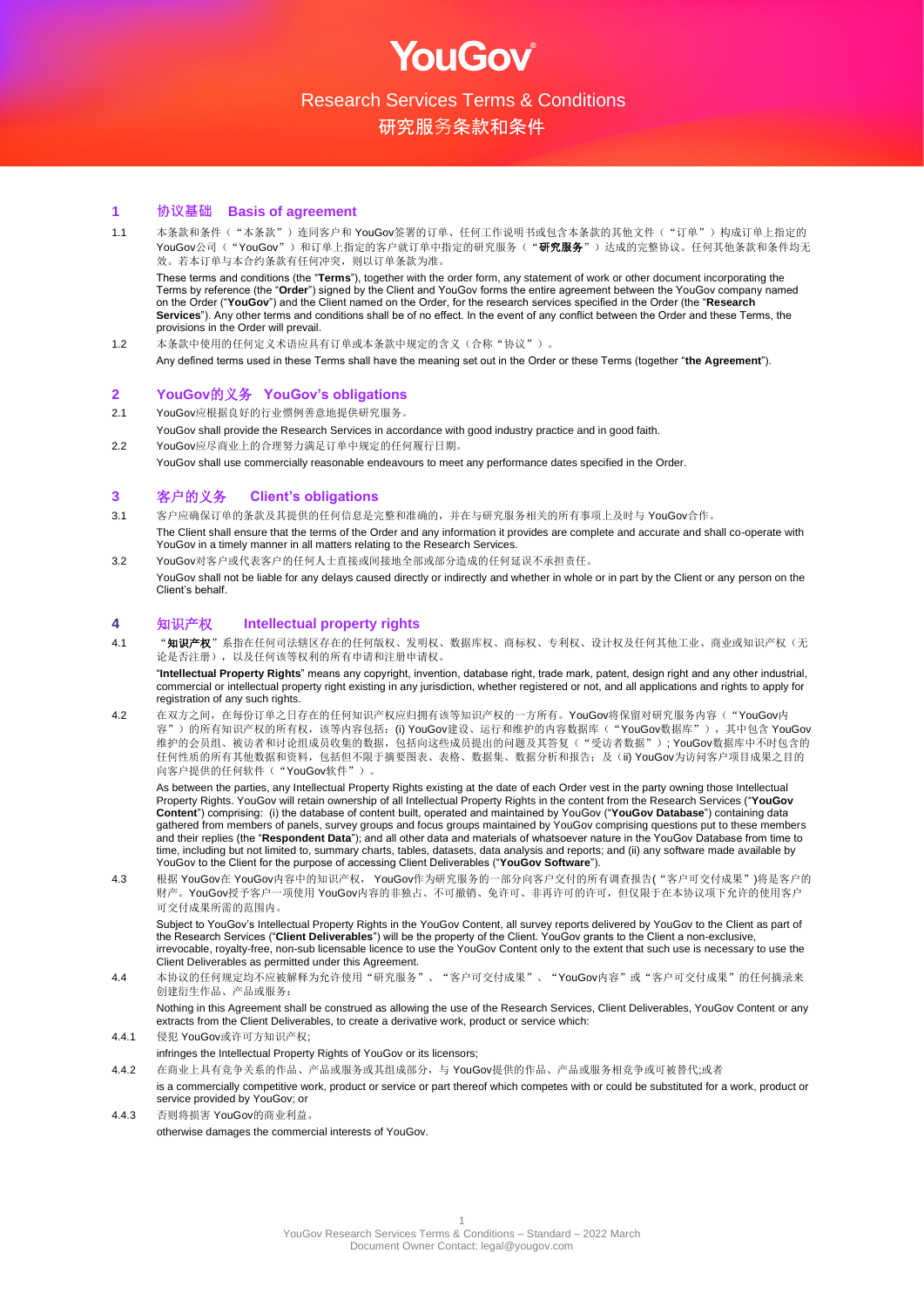

研究服务条款和条件

# **1 协议基础 Basis of agreement**

1.1 本条款和条件("本条款")连同客户和 YouGov签署的订单、任何工作说明书或包含本条款的其他文件("订单")构成订单上指定的 YouGov公司("YouGov")和订单上指定的客户就订单中指定的研究服务("研究服务")达成的完整协议。任何其他条款和条件均无 效。若本订单与本合约条款有任何冲突,则以订单条款为准。

These terms and conditions (the "**Terms**"), together with the order form, any statement of work or other document incorporating the Terms by reference (the "**Order**") signed by the Client and YouGov forms the entire agreement between the YouGov company named on the Order ("**YouGov**") and the Client named on the Order, for the research services specified in the Order (the "**Research Services**"). Any other terms and conditions shall be of no effect. In the event of any conflict between the Order and these Terms, the provisions in the Order will prevail.

1.2 本条款中使用的任何定义术语应具有订单或本条款中规定的含义(合称"协议")。 Any defined terms used in these Terms shall have the meaning set out in the Order or these Terms (together "**the Agreement**").

## **2 YouGov**的义务 **YouGov's obligations**

2.1 YouGov应根据良好的行业惯例善意地提供研究服务。

- YouGov shall provide the Research Services in accordance with good industry practice and in good faith.
- 2.2 YouGov应尽商业上的合理努力满足订单中规定的任何履行日期。 YouGov shall use commercially reasonable endeavours to meet any performance dates specified in the Order.

## **3** 客户的义务 **Client's obligations**

- 3.1 客户应确保订单的条款及其提供的任何信息是完整和准确的,并在与研究服务相关的所有事项上及时与 YouGov合作。 The Client shall ensure that the terms of the Order and any information it provides are complete and accurate and shall co-operate with YouGov in a timely manner in all matters relating to the Research Services.
- 3.2 YouGov对客户或代表客户的任何人士直接或间接地全部或部分造成的任何延误不承担责任。 YouGov shall not be liable for any delays caused directly or indirectly and whether in whole or in part by the Client or any person on the Client's behalf.

#### **4** 知识产权 **Intellectual property rights**

4.1 "知识产权"系指在任何司法辖区存在的任何版权、发明权、数据库权、商标权、专利权、设计权及任何其他工业、商业或知识产权(无 论是否注册),以及任何该等权利的所有申请和注册申请权。

"**Intellectual Property Rights**" means any copyright, invention, database right, trade mark, patent, design right and any other industrial, commercial or intellectual property right existing in any jurisdiction, whether registered or not, and all applications and rights to apply for registration of any such rights.

4.2 在双方之间,在每份订单之日存在的任何知识产权应归拥有该等知识产权的一方所有。YouGov将保留对研究服务内容("YouGov内 容")的所有知识产权的所有权,该等内容包括: (i) YouGov建设、运行和维护的内容数据库("YouGov数据库"),其中包含 YouGov 维护的会员组、被访者和讨论组成员收集的数据,包括向这些成员提出的问题及其答复("受访者数据"); YouGov数据库中不时包含的 任何性质的所有其他数据和资料,包括但不限于摘要图表、表格、数据集、数据分析和报告;及(ii) YouGov为访问客户项目成果之目的 向客户提供的任何软件("YouGov软件")。

As between the parties, any Intellectual Property Rights existing at the date of each Order vest in the party owning those Intellectual Property Rights. YouGov will retain ownership of all Intellectual Property Rights in the content from the Research Services ("**YouGov Content**") comprising: (i) the database of content built, operated and maintained by YouGov ("**YouGov Database**") containing data gathered from members of panels, survey groups and focus groups maintained by YouGov comprising questions put to these members and their replies (the "**Respondent Data**"); and all other data and materials of whatsoever nature in the YouGov Database from time to time, including but not limited to, summary charts, tables, datasets, data analysis and reports; and (ii) any software made available by YouGov to the Client for the purpose of accessing Client Deliverables ("**YouGov Software**").

4.3 根据 YouGov在 YouGov内容中的知识产权, YouGov作为研究服务的一部分向客户交付的所有调查报告("客户可交付成果")将是客户的 财产。YouGov授予客户一项使用 YouGov内容的非独占、不可撤销、免许可、非再许可的许可,但仅限于在本协议项下允许的使用客户 可交付成果所需的范围内。

Subject to YouGov's Intellectual Property Rights in the YouGov Content, all survey reports delivered by YouGov to the Client as part of the Research Services ("**Client Deliverables**") will be the property of the Client. YouGov grants to the Client a non-exclusive, irrevocable, royalty-free, non-sub licensable licence to use the YouGov Content only to the extent that such use is necessary to use the Client Deliverables as permitted under this Agreement.

4.4 本协议的任何规定均不应被解释为允许使用"研究服务"、"客户可交付成果"、"YouGov内容"或"客户可交付成果"的任何摘录来 创建衍生作品、产品或服务:

Nothing in this Agreement shall be construed as allowing the use of the Research Services, Client Deliverables, YouGov Content or any extracts from the Client Deliverables, to create a derivative work, product or service which:

- 4.4.1 侵犯 YouGov或许可方知识产权;
- infringes the Intellectual Property Rights of YouGov or its licensors;
- 4.4.2 在商业上具有竞争关系的作品、产品或服务或其组成部分,与 YouGov提供的作品、产品或服务相竞争或可被替代;或者
	- is a commercially competitive work, product or service or part thereof which competes with or could be substituted for a work, product or service provided by YouGov; or
- 4.4.3 否则将损害 YouGov的商业利益。 otherwise damages the commercial interests of YouGov.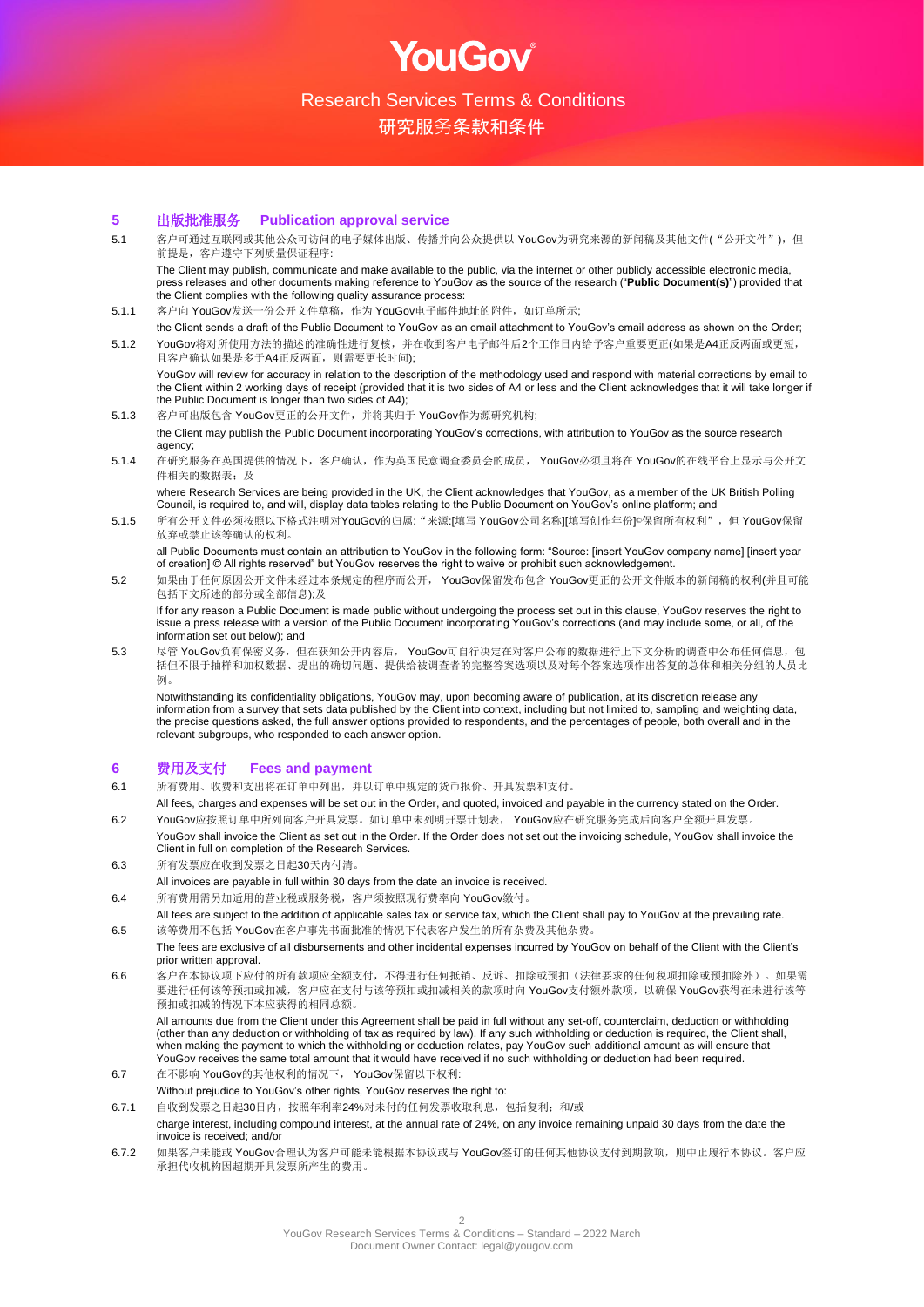OUGOV

研究服务条款和条件

#### **5** 出版批准服务 **Publication approval service**

- 5.1 客户可通过互联网或其他公众可访问的电子媒体出版、传播并向公众提供以 YouGov为研究来源的新闻稿及其他文件("公开文件"), 但 前提是,客户遵守下列质量保证程序: The Client may publish, communicate and make available to the public, via the internet or other publicly accessible electronic media, press releases and other documents making reference to YouGov as the source of the research ("**Public Document(s)**") provided that the Client complies with the following quality assurance process:
- 5.1.1 客户向 YouGov发送一份公开文件草稿, 作为 YouGov电子邮件地址的附件, 如订单所示;
- the Client sends a draft of the Public Document to YouGov as an email attachment to YouGov's email address as shown on the Order; 5.1.2 YouGov将对所使用方法的描述的准确性进行复核,并在收到客户电子邮件后2个工作日内给予客户重要更正(如果是A4正反两面或更短, 且客户确认如果是多于A4正反两面,则需要更长时间);

YouGov will review for accuracy in relation to the description of the methodology used and respond with material corrections by email to the Client within 2 working days of receipt (provided that it is two sides of A4 or less and the Client acknowledges that it will take longer if the Public Document is longer than two sides of A4);

- 5.1.3 客户可出版包含 YouGov更正的公开文件,并将其归于 YouGov作为源研究机构; the Client may publish the Public Document incorporating YouGov's corrections, with attribution to YouGov as the source research agency;
- 5.1.4 在研究服务在英国提供的情况下, 客户确认, 作为英国民意调查委员会的成员, YouGov必须且将在 YouGov的在线平台上显示与公开文 件相关的数据表;及

where Research Services are being provided in the UK, the Client acknowledges that YouGov, as a member of the UK British Polling Council, is required to, and will, display data tables relating to the Public Document on YouGov's online platform; and

5.1.5 所有公开文件必须按照以下格式注明对YouGov的归属: "来源:[填写 YouGov公司名称][填写创作年份]©保留所有权利",但 YouGov保留 放弃或禁止该等确认的权利。

all Public Documents must contain an attribution to YouGov in the following form: "Source: [insert YouGov company name] [insert year of creation] © All rights reserved" but YouGov reserves the right to waive or prohibit such acknowledgement.

5.2 如果由于任何原因公开文件未经过本条规定的程序而公开, YouGov保留发布包含 YouGov更正的公开文件版本的新闻稿的权利(并且可能 包括下文所述的部分或全部信息);及

If for any reason a Public Document is made public without undergoing the process set out in this clause, YouGov reserves the right to issue a press release with a version of the Public Document incorporating YouGov's corrections (and may include some, or all, of the information set out below); and

5.3 尽管 YouGov负有保密义务,但在获知公开内容后, YouGov可自行决定在对客户公布的数据进行上下文分析的调查中公布任何信息, 包 括但不限于抽样和加权数据、提出的确切问题、提供给被调查者的完整答案选项以及对每个答案选项作出答复的总体和相关分组的人员比 例。

Notwithstanding its confidentiality obligations, YouGov may, upon becoming aware of publication, at its discretion release any information from a survey that sets data published by the Client into context, including but not limited to, sampling and weighting data, the precise questions asked, the full answer options provided to respondents, and the percentages of people, both overall and in the relevant subgroups, who responded to each answer option.

#### **6** 费用及支付 **Fees and payment**

- 6.1 所有费用、收费和支出将在订单中列出,并以订单中规定的货币报价、开具发票和支付。
- All fees, charges and expenses will be set out in the Order, and quoted, invoiced and payable in the currency stated on the Order. 6.2 YouGov应按照订单中所列向客户开具发票。如订单中未列明开票计划表, YouGov应在研究服务完成后向客户全额开具发票。
- YouGov shall invoice the Client as set out in the Order. If the Order does not set out the invoicing schedule, YouGov shall invoice the Client in full on completion of the Research Services.
- 6.3 所有发票应在收到发票之日起30天内付清。
- All invoices are payable in full within 30 days from the date an invoice is received.
- 6.4 所有费用需另加适用的营业税或服务税,客户须按照现行费率向 YouGov缴付。
- All fees are subject to the addition of applicable sales tax or service tax, which the Client shall pay to YouGov at the prevailing rate. 6.5 该等费用不包括 YouGov在客户事先书面批准的情况下代表客户发生的所有杂费及其他杂费。
- The fees are exclusive of all disbursements and other incidental expenses incurred by YouGov on behalf of the Client with the Client's prior written approval.
- 6.6 客户在本协议项下应付的所有款项应全额支付,不得进行任何抵销、反诉、扣除或预扣(法律要求的任何税项扣除或预扣除外)。如果需 要进行任何该等预扣或扣减, 客户应在支付与该等预扣或扣减相关的款项时向 YouGov支付额外款项, 以确保 YouGov获得在未进行该等 预扣或扣减的情况下本应获得的相同总额。

All amounts due from the Client under this Agreement shall be paid in full without any set-off, counterclaim, deduction or withholding (other than any deduction or withholding of tax as required by law). If any such withholding or deduction is required, the Client shall, when making the payment to which the withholding or deduction relates, pay YouGov such additional amount as will ensure that YouGov receives the same total amount that it would have received if no such withholding or deduction had been required.

- 6.7 在不影响 YouGov的其他权利的情况下, YouGov保留以下权利:
- Without prejudice to YouGov's other rights, YouGov reserves the right to:
- 6.7.1 自收到发票之日起30日内, 按照年利率24%对未付的任何发票收取利息, 包括复利; 和/或
- charge interest, including compound interest, at the annual rate of 24%, on any invoice remaining unpaid 30 days from the date the invoice is received; and/or
- 6.7.2 如果客户未能或 YouGov合理认为客户可能未能根据本协议或与 YouGov签订的任何其他协议支付到期款项, 则中止履行本协议。客户应 承担代收机构因超期开具发票所产生的费用。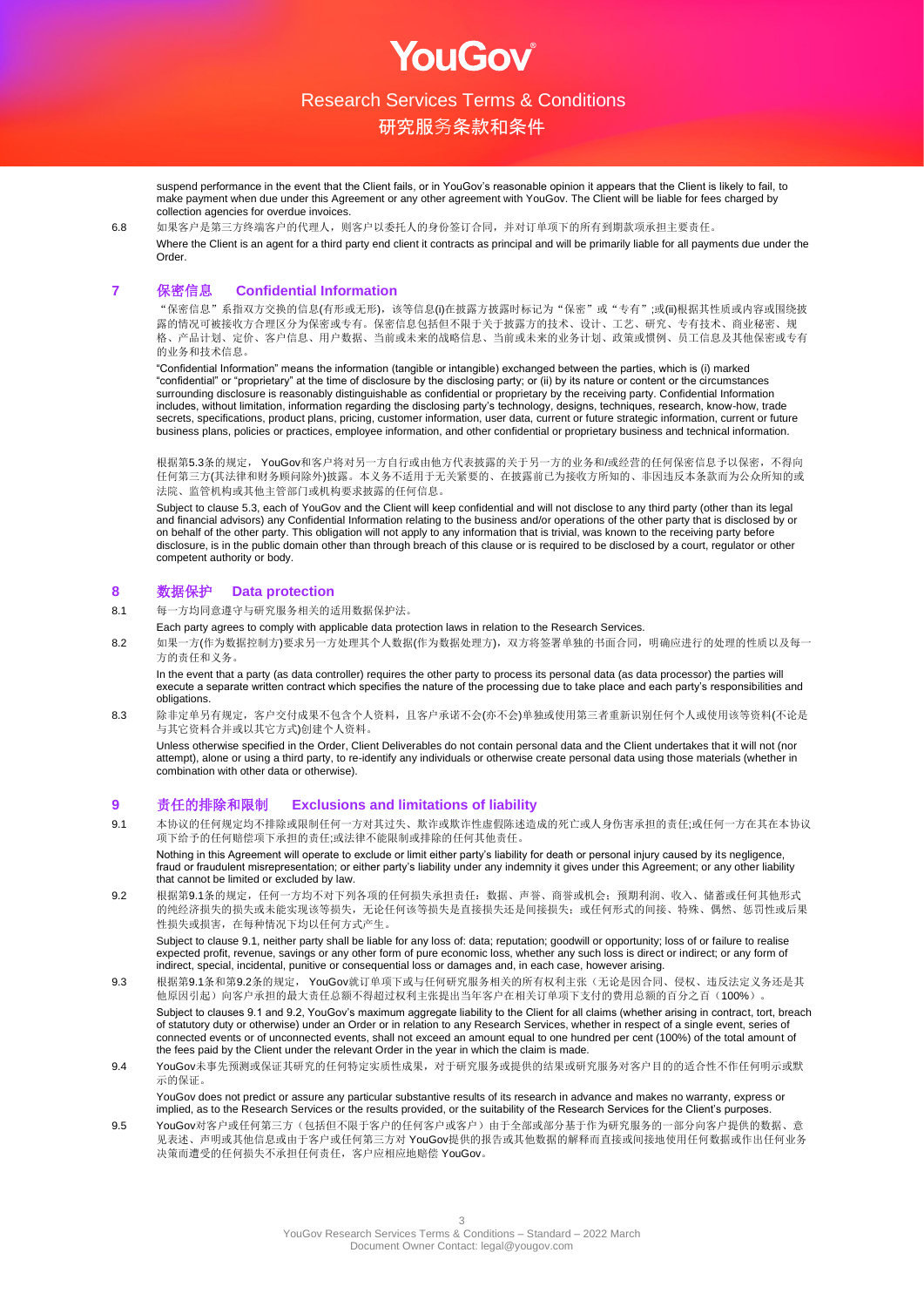

OUGOV

研究服务条款和条件

suspend performance in the event that the Client fails, or in YouGov's reasonable opinion it appears that the Client is likely to fail, to make payment when due under this Agreement or any other agreement with YouGov. The Client will be liable for fees charged by collection agencies for overdue invoices.

6.8 如果客户是第三方终端客户的代理人,则客户以委托人的身份签订合同,并对订单项下的所有到期款项承担主要责任。 Where the Client is an agent for a third party end client it contracts as principal and will be primarily liable for all payments due under the Order.

## **7** 保密信息 **Confidential Information**

"保密信息"系指双方交换的信息(有形或无形),该等信息(i)在披露方披露时标记为"保密"或"专有";或(ii)根据其性质或内容或围绕披 露的情况可被接收方合理区分为保密或专有。保密信息包括但不限于关于披露方的技术、设计、工艺、研究、专有技术、商业秘密、规 格、产品计划、定价、客户信息、用户数据、当前或未来的战略信息、当前或未来的业务计划、政策或惯例、员工信息及其他保密或专有 的业务和技术信息。

"Confidential Information" means the information (tangible or intangible) exchanged between the parties, which is (i) marked "confidential" or "proprietary" at the time of disclosure by the disclosing party; or (ii) by its nature or content or the circumstances surrounding disclosure is reasonably distinguishable as confidential or proprietary by the receiving party. Confidential Information includes, without limitation, information regarding the disclosing party's technology, designs, techniques, research, know-how, trade secrets, specifications, product plans, pricing, customer information, user data, current or future strategic information, current or future business plans, policies or practices, employee information, and other confidential or proprietary business and technical information.

根据第5.3条的规定, YouGov和客户将对另一方自行或由他方代表披露的关于另一方的业务和/或经营的任何保密信息予以保密, 不得向 任何第三方(其法律和财务顾问除外)披露。本义务不适用于无关紧要的、在披露前已为接收方所知的、非因违反本条款而为公众所知的或 法院、监管机构或其他主管部门或机构要求披露的任何信息。

Subject to clause 5.3, each of YouGov and the Client will keep confidential and will not disclose to any third party (other than its legal and financial advisors) any Confidential Information relating to the business and/or operations of the other party that is disclosed by or on behalf of the other party. This obligation will not apply to any information that is trivial, was known to the receiving party before disclosure, is in the public domain other than through breach of this clause or is required to be disclosed by a court, regulator or other competent authority or body.

## **8** 数据保护 **Data protection**

- 8.1 每一方均同意遵守与研究服务相关的适用数据保护法。
	- Each party agrees to comply with applicable data protection laws in relation to the Research Services.
- 8.2 如果一方(作为数据控制方)要求另一方处理其个人数据(作为数据处理方),双方将签署单独的书面合同,明确应进行的处理的性质以及每一 方的责任和义务。

In the event that a party (as data controller) requires the other party to process its personal data (as data processor) the parties will execute a separate written contract which specifies the nature of the processing due to take place and each party's responsibilities and obligations.

8.3 除非定单另有规定,客户交付成果不包含个人资料,且客户承诺不会(亦不会)单独或使用第三者重新识别任何个人或使用该等资料(不论是 与其它资料合并或以其它方式)创建个人资料。

Unless otherwise specified in the Order, Client Deliverables do not contain personal data and the Client undertakes that it will not (nor attempt), alone or using a third party, to re-identify any individuals or otherwise create personal data using those materials (whether in combination with other data or otherwise).

## **9** 责任的排除和限制 **Exclusions and limitations of liability**

9.1 本协议的任何规定均不排除或限制任何一方对其过失、欺诈或欺诈性虚假陈述造成的死亡或人身伤害承担的责任;或任何一方在其在本协议 项下给予的任何赔偿项下承担的责任;或法律不能限制或排除的任何其他责任。

Nothing in this Agreement will operate to exclude or limit either party's liability for death or personal injury caused by its negligence, fraud or fraudulent misrepresentation; or either party's liability under any indemnity it gives under this Agreement; or any other liability that cannot be limited or excluded by law.

9.2 根据第9.1条的规定,任何一方均不对下列各项的任何损失承担责任: 数据、声誉、商誉或机会;预期利润、收入、储蓄或任何其他形式 的纯经济损失的损失或未能实现该等损失,无论任何该等损失是直接损失还是间接损失;或任何形式的间接、特殊、偶然、惩罚性或后果 性损失或损害,在每种情况下均以任何方式产生。

Subject to clause 9.1, neither party shall be liable for any loss of: data; reputation; goodwill or opportunity; loss of or failure to realise expected profit, revenue, savings or any other form of pure economic loss, whether any such loss is direct or indirect; or any form of indirect, special, incidental, punitive or consequential loss or damages and, in each case, however arising.

9.3 根据第9.1条和第9.2条的规定, YouGov就订单项下或与任何研究服务相关的所有权利主张(无论是因合同、侵权、违反法定义务还是其 他原因引起)向客户承担的最大责任总额不得超过权利主张提出当年客户在相关订单项下支付的费用总额的百分之百(100%)。 Subject to clauses 9.1 and 9.2, YouGov's maximum aggregate liability to the Client for all claims (whether arising in contract, tort, breach of statutory duty or otherwise) under an Order or in relation to any Research Services, whether in respect of a single event, series of connected events or of unconnected events, shall not exceed an amount equal to one hundred per cent (100%) of the total amount of the fees paid by the Client under the relevant Order in the year in which the claim is made.

9.4 YouGov未事先预测或保证其研究的任何特定实质性成果,对于研究服务或提供的结果或研究服务对客户目的的适合性不作任何明示或默 示的保证。

YouGov does not predict or assure any particular substantive results of its research in advance and makes no warranty, express or implied, as to the Research Services or the results provided, or the suitability of the Research Services for the Client's purposes.

9.5 YouGov对客户或任何第三方(包括但不限于客户的任何客户或客户)由于全部或部分基于作为研究服务的一部分向客户提供的数据、意 见表述、声明或其他信息或由于客户或任何第三方对 YouGov提供的报告或其他数据的解释而直接或间接地使用任何数据或作出任何业务 决策而遭受的任何损失不承担任何责任,客户应相应地赔偿 YouGov。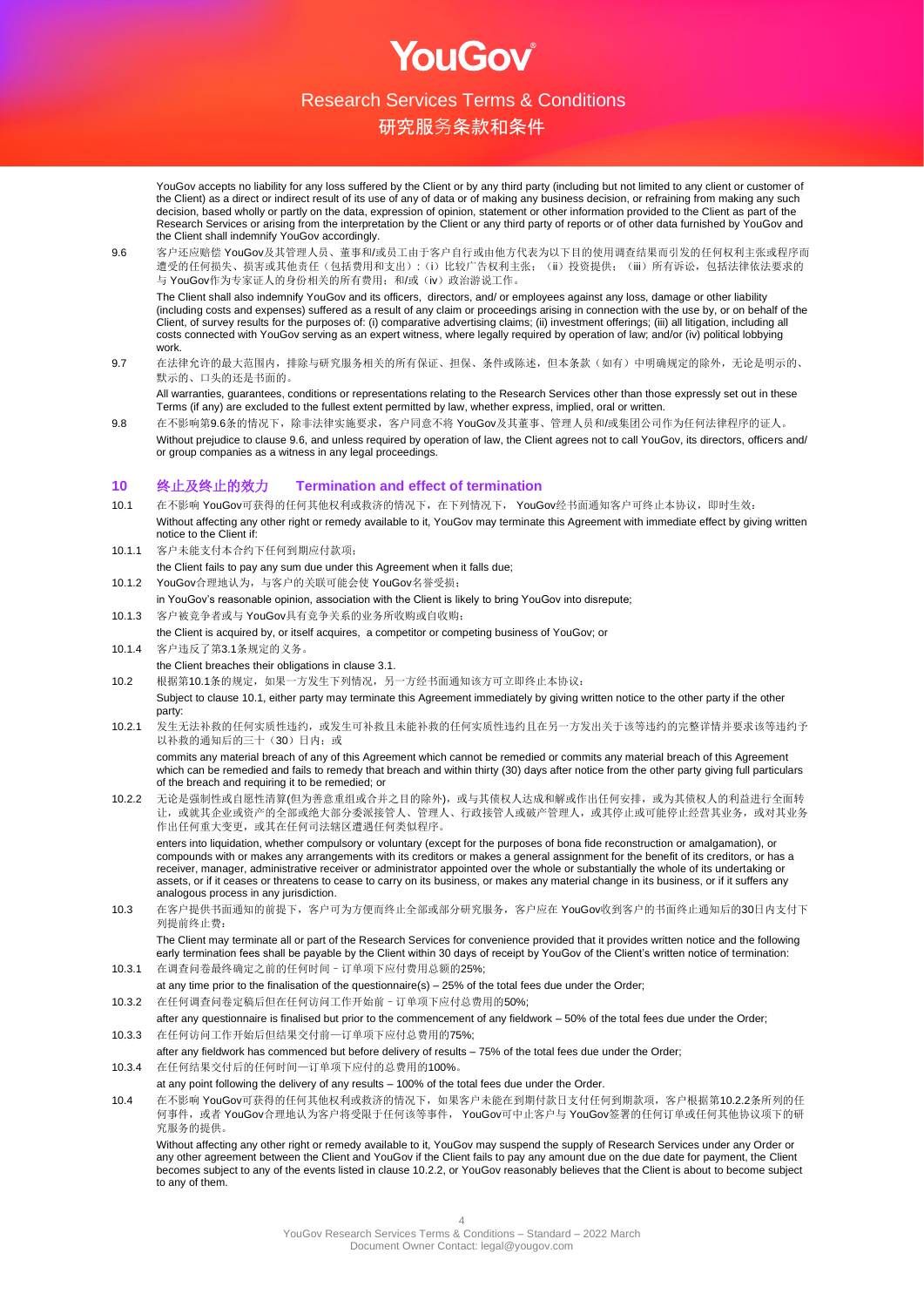

OUGOV

# 研究服务条款和条件

YouGov accepts no liability for any loss suffered by the Client or by any third party (including but not limited to any client or customer of the Client) as a direct or indirect result of its use of any of data or of making any business decision, or refraining from making any such decision, based wholly or partly on the data, expression of opinion, statement or other information provided to the Client as part of the Research Services or arising from the interpretation by the Client or any third party of reports or of other data furnished by YouGov and the Client shall indemnify YouGov accordingly.

9.6 客户还应赔偿 YouGov及其管理人员、董事和/或员工由于客户自行或由他方代表为以下目的使用调查结果而引发的任何权利主张或程序而 遭受的任何损失、损害或其他责任(包括费用和支出):(i)比较广告权利主张;(ii)投资提供;(iii)所有诉讼,包括法律依法要求的 与 YouGov作为专家证人的身份相关的所有费用;和/或(iv)政治游说工作。

The Client shall also indemnify YouGov and its officers, directors, and/ or employees against any loss, damage or other liability (including costs and expenses) suffered as a result of any claim or proceedings arising in connection with the use by, or on behalf of the Client, of survey results for the purposes of: (i) comparative advertising claims; (ii) investment offerings; (iii) all litigation, including all costs connected with YouGov serving as an expert witness, where legally required by operation of law; and/or (iv) political lobbying work.

9.7 在法律允许的最大范围内,排除与研究服务相关的所有保证、担保、条件或陈述,但本条款(如有)中明确规定的除外,无论是明示的、 默示的、口头的还是书面的。

All warranties, guarantees, conditions or representations relating to the Research Services other than those expressly set out in these Terms (if any) are excluded to the fullest extent permitted by law, whether express, implied, oral or written.

9.8 在不影响第9.6条的情况下,除非法律实施要求,客户同意不将 YouGov及其董事、管理人员和/或集团公司作为任何法律程序的证人。 Without prejudice to clause 9.6, and unless required by operation of law, the Client agrees not to call YouGov, its directors, officers and/ or group companies as a witness in any legal proceedings.

## **10** 终止及终止的效力 **Termination and effect of termination**

- 10.1 在不影响 YouGov可获得的任何其他权利或救济的情况下,在下列情况下, YouGov经书面通知客户可终止本协议,即时生效: Without affecting any other right or remedy available to it, YouGov may terminate this Agreement with immediate effect by giving written notice to the Client if:
- 10.1.1 客户未能支付本合约下任何到期应付款项;
- the Client fails to pay any sum due under this Agreement when it falls due;
- 10.1.2 YouGov合理地认为,与客户的关联可能会使 YouGov名誉受损;
- in YouGov's reasonable opinion, association with the Client is likely to bring YouGov into disrepute;
- 10.1.3 客户被竞争者或与 YouGov具有竞争关系的业务所收购或自收购;
- the Client is acquired by, or itself acquires, a competitor or competing business of YouGov; or 10.1.4 客户违反了第3.1条规定的义务。
- the Client breaches their obligations in clause 3.1.

10.2 根据第10.1条的规定,如果一方发生下列情况,另一方经书面通知该方可立即终止本协议:

- Subject to clause 10.1, either party may terminate this Agreement immediately by giving written notice to the other party if the other party:
- 10.2.1 发生无法补救的任何实质性违约, 或发生可补救且未能补救的任何实质性违约且在另一方发出关于该等违约的完整详情并要求该等违约予 以补救的通知后的三十(30)日内;或

commits any material breach of any of this Agreement which cannot be remedied or commits any material breach of this Agreement which can be remedied and fails to remedy that breach and within thirty (30) days after notice from the other party giving full particulars of the breach and requiring it to be remedied; or

10.2.2 无论是强制性或自愿性清算(但为善意重组或合并之目的除外),或与其债权人达成和解或作出任何安排,或为其债权人的利益进行全面转 让,或就其企业或资产的全部或绝大部分委派接管人、管理人、行政接管人或破产管理人,或其停止或可能停止经营其业务,或对其业务 作出任何重大变更,或其在任何司法辖区遭遇任何类似程序。

enters into liquidation, whether compulsory or voluntary (except for the purposes of bona fide reconstruction or amalgamation), or compounds with or makes any arrangements with its creditors or makes a general assignment for the benefit of its creditors, or has a receiver, manager, administrative receiver or administrator appointed over the whole or substantially the whole of its undertaking or assets, or if it ceases or threatens to cease to carry on its business, or makes any material change in its business, or if it suffers any analogous process in any jurisdiction.

10.3 在客户提供书面通知的前提下,客户可为方便而终止全部或部分研究服务,客户应在 YouGov收到客户的书面终止通知后的30日内支付下 列提前终止费:

The Client may terminate all or part of the Research Services for convenience provided that it provides written notice and the following early termination fees shall be payable by the Client within 30 days of receipt by YouGov of the Client's written notice of termination:

- 10.3.1 在调查问卷最终确定之前的任何时间–订单项下应付费用总额的25%;
- at any time prior to the finalisation of the questionnaire(s) 25% of the total fees due under the Order;
- 10.3.2 在任何调查问卷定稿后但在任何访问工作开始前–订单项下应付总费用的50%;
- after any questionnaire is finalised but prior to the commencement of any fieldwork 50% of the total fees due under the Order; 10.3.3 在任何访问工作开始后但结果交付前—订单项下应付总费用的75%;

after any fieldwork has commenced but before delivery of results – 75% of the total fees due under the Order;

- 10.3.4 在任何结果交付后的任何时间—订单项下应付的总费用的100%。
- at any point following the delivery of any results 100% of the total fees due under the Order.
- 10.4 在不影响 YouGov可获得的任何其他权利或救济的情况下,如果客户未能在到期付款日支付任何到期款项,客户根据第10.2.2条所列的任 何事件,或者 YouGov合理地认为客户将受限于任何该等事件, YouGov可中止客户与 YouGov签署的任何订单或任何其他协议项下的研 究服务的提供。

Without affecting any other right or remedy available to it, YouGov may suspend the supply of Research Services under any Order or any other agreement between the Client and YouGov if the Client fails to pay any amount due on the due date for payment, the Client becomes subject to any of the events listed in clause 10.2.2, or YouGov reasonably believes that the Client is about to become subject to any of them.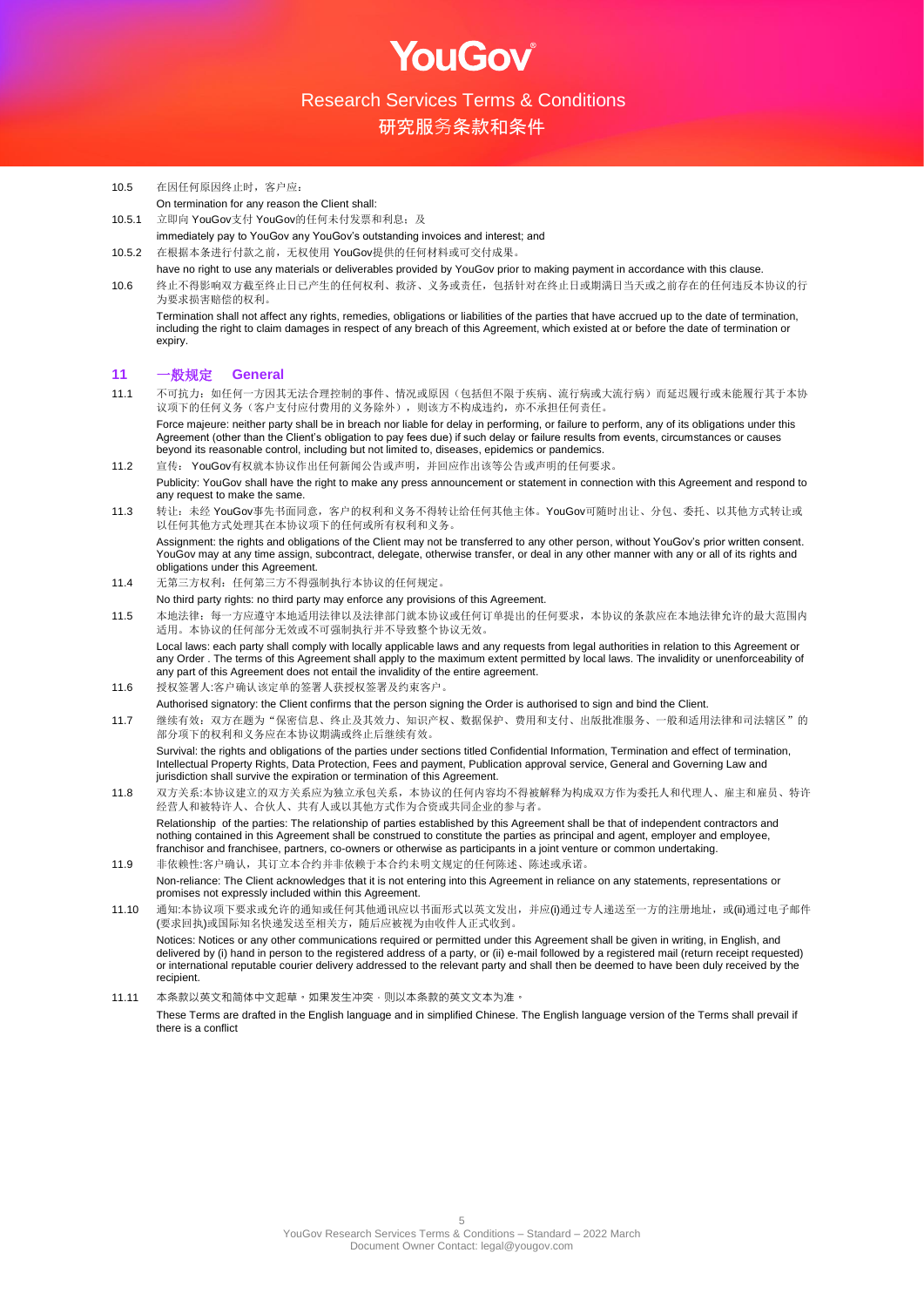**OUGOV** 

研究服务条款和条件

- 10.5 在因任何原因终止时,客户应: On termination for any reason the Client shall:
- 10.5.1 立即向 YouGov支付 YouGov的任何未付发票和利息; 及
- immediately pay to YouGov any YouGov's outstanding invoices and interest; and 10.5.2 在根据本条进行付款之前,无权使用 YouGov提供的任何材料或可交付成果。
- have no right to use any materials or deliverables provided by YouGov prior to making payment in accordance with this clause.

10.6 终止不得影响双方截至终止日已产生的任何权利、救济、义务或责任,包括针对在终止日或期满日当天或之前存在的任何违反本协议的行 为要求损害赔偿的权利。

Termination shall not affect any rights, remedies, obligations or liabilities of the parties that have accrued up to the date of termination, including the right to claim damages in respect of any breach of this Agreement, which existed at or before the date of termination or expiry.

## **11** 一般规定 **General**

- 11.1 不可抗力:如任何一方因其无法合理控制的事件、情况或原因(包括但不限于疾病、流行病或大流行病)而延迟履行或未能履行其于本协 议项下的任何义务(客户支付应付费用的义务除外),则该方不构成违约,亦不承担任何责任。 Force maieure: neither party shall be in breach nor liable for delay in performing, or failure to perform, any of its obligations under this Agreement (other than the Client's obligation to pay fees due) if such delay or failure results from events, circumstances or causes beyond its reasonable control, including but not limited to, diseases, epidemics or pandemics.
- 11.2 宣传: YouGov有权就本协议作出任何新闻公告或声明,并回应作出该等公告或声明的任何要求。 Publicity: YouGov shall have the right to make any press announcement or statement in connection with this Agreement and respond to any request to make the same.
- 11.3 转让:未经 YouGov事先书面同意,客户的权利和义务不得转让给任何其他主体。YouGov可随时出让、分包、委托、以其他方式转让或 以任何其他方式处理其在本协议项下的任何或所有权利和义务。 Assignment: the rights and obligations of the Client may not be transferred to any other person, without YouGov's prior written consent.

YouGov may at any time assign, subcontract, delegate, otherwise transfer, or deal in any other manner with any or all of its rights and obligations under this Agreement.

11.4 无第三方权利: 任何第三方不得强制执行本协议的任何规定。

No third party rights: no third party may enforce any provisions of this Agreement.

11.5 本地法律:每一方应遵守本地适用法律以及法律部门就本协议或任何订单提出的任何要求,本协议的条款应在本地法律允许的最大范围内 适用。本协议的任何部分无效或不可强制执行并不导致整个协议无效。

Local laws: each party shall comply with locally applicable laws and any requests from legal authorities in relation to this Agreement or any Order . The terms of this Agreement shall apply to the maximum extent permitted by local laws. The invalidity or unenforceability of any part of this Agreement does not entail the invalidity of the entire agreement.

- 11.6 授权签署人:客户确认该定单的签署人获授权签署及约束客户。
- Authorised signatory: the Client confirms that the person signing the Order is authorised to sign and bind the Client.
- 11.7 继续有效:双方在题为"保密信息、终止及其效力、知识产权、数据保护、费用和支付、出版批准服务、一般和适用法律和司法辖区"的 部分项下的权利和义务应在本协议期满或终止后继续有效。

Survival: the rights and obligations of the parties under sections titled Confidential Information. Termination and effect of termination. Intellectual Property Rights, Data Protection, Fees and payment, Publication approval service, General and Governing Law and jurisdiction shall survive the expiration or termination of this Agreement.

11.8 双方关系:本协议建立的双方关系应为独立承包关系,本协议的任何内容均不得被解释为构成双方作为委托人和代理人、雇主和雇员、特许 经营人和被特许人、合伙人、共有人或以其他方式作为合资或共同企业的参与者。 Relationship of the parties: The relationship of parties established by this Agreement shall be that of independent contractors and

nothing contained in this Agreement shall be construed to constitute the parties as principal and agent, employer and employee, franchisor and franchisee, partners, co-owners or otherwise as participants in a joint venture or common undertaking. 11.9 非依赖性:客户确认,其订立本合约并非依赖于本合约未明文规定的任何陈述、陈述或承诺。

Non-reliance: The Client acknowledges that it is not entering into this Agreement in reliance on any statements, representations or promises not expressly included within this Agreement.

11.10 通知:本协议项下要求或允许的通知或任何其他通讯应以书面形式以英文发出,并应(i)通过专人递送至一方的注册地址,或(ii)通过电子邮件 (要求回执)或国际知名快递发送至相关方,随后应被视为由收件人正式收到。 Notices: Notices or any other communications required or permitted under this Agreement shall be given in writing, in English, and delivered by (i) hand in person to the registered address of a party, or (ii) e-mail followed by a registered mail (return receipt requested) or international reputable courier delivery addressed to the relevant party and shall then be deemed to have been duly received by the recipient.

11.11 本条款以英文和简体中文起草。如果发生冲突,则以本条款的英文文本为准。

These Terms are drafted in the English language and in simplified Chinese. The English language version of the Terms shall prevail if there is a conflict